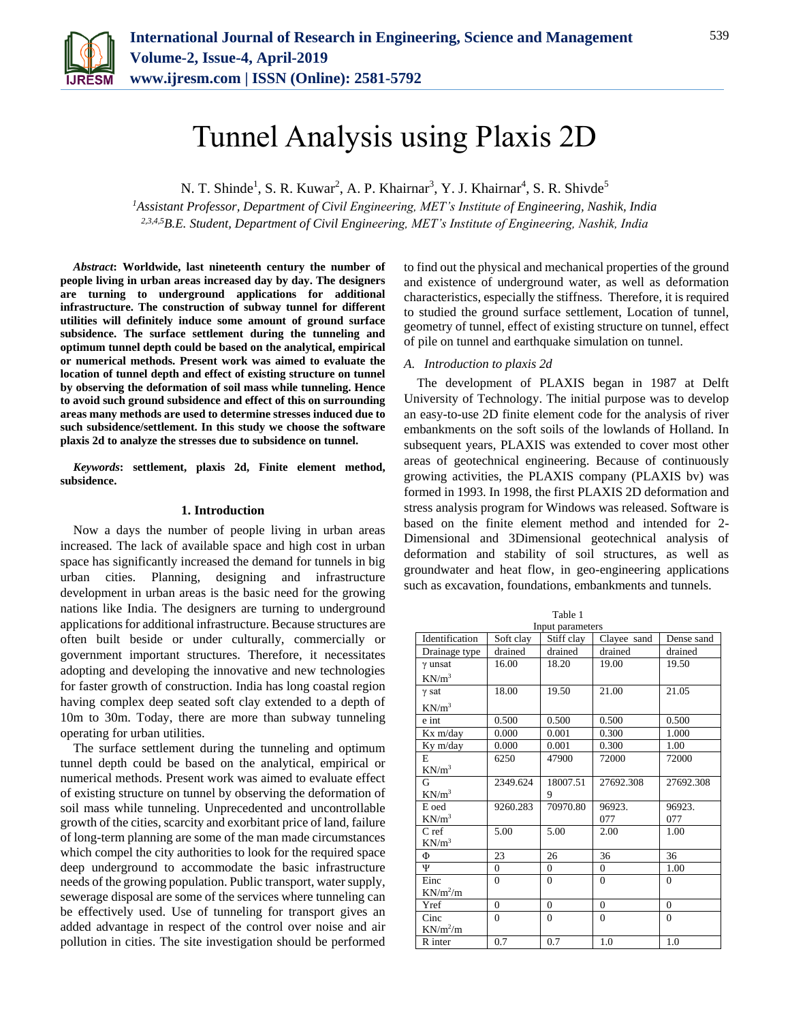

# Tunnel Analysis using Plaxis 2D

N. T. Shinde<sup>1</sup>, S. R. Kuwar<sup>2</sup>, A. P. Khairnar<sup>3</sup>, Y. J. Khairnar<sup>4</sup>, S. R. Shivde<sup>5</sup>

*<sup>1</sup>Assistant Professor, Department of Civil Engineering, MET's Institute of Engineering, Nashik, India 2,3,4,5B.E. Student, Department of Civil Engineering, MET's Institute of Engineering, Nashik, India*

*Abstract***: Worldwide, last nineteenth century the number of people living in urban areas increased day by day. The designers are turning to underground applications for additional infrastructure. The construction of subway tunnel for different utilities will definitely induce some amount of ground surface subsidence. The surface settlement during the tunneling and optimum tunnel depth could be based on the analytical, empirical or numerical methods. Present work was aimed to evaluate the location of tunnel depth and effect of existing structure on tunnel by observing the deformation of soil mass while tunneling. Hence to avoid such ground subsidence and effect of this on surrounding areas many methods are used to determine stresses induced due to such subsidence/settlement. In this study we choose the software plaxis 2d to analyze the stresses due to subsidence on tunnel.** 

*Keywords***: settlement, plaxis 2d, Finite element method, subsidence.**

# **1. Introduction**

Now a days the number of people living in urban areas increased. The lack of available space and high cost in urban space has significantly increased the demand for tunnels in big urban cities. Planning, designing and infrastructure development in urban areas is the basic need for the growing nations like India. The designers are turning to underground applications for additional infrastructure. Because structures are often built beside or under culturally, commercially or government important structures. Therefore, it necessitates adopting and developing the innovative and new technologies for faster growth of construction. India has long coastal region having complex deep seated soft clay extended to a depth of 10m to 30m. Today, there are more than subway tunneling operating for urban utilities.

The surface settlement during the tunneling and optimum tunnel depth could be based on the analytical, empirical or numerical methods. Present work was aimed to evaluate effect of existing structure on tunnel by observing the deformation of soil mass while tunneling. Unprecedented and uncontrollable growth of the cities, scarcity and exorbitant price of land, failure of long-term planning are some of the man made circumstances which compel the city authorities to look for the required space deep underground to accommodate the basic infrastructure needs of the growing population. Public transport, water supply, sewerage disposal are some of the services where tunneling can be effectively used. Use of tunneling for transport gives an added advantage in respect of the control over noise and air pollution in cities. The site investigation should be performed to find out the physical and mechanical properties of the ground and existence of underground water, as well as deformation characteristics, especially the stiffness. Therefore, it is required to studied the ground surface settlement, Location of tunnel, geometry of tunnel, effect of existing structure on tunnel, effect of pile on tunnel and earthquake simulation on tunnel.

## *A. Introduction to plaxis 2d*

The development of PLAXIS began in 1987 at Delft University of Technology. The initial purpose was to develop an easy-to-use 2D finite element code for the analysis of river embankments on the soft soils of the lowlands of Holland. In subsequent years, PLAXIS was extended to cover most other areas of geotechnical engineering. Because of continuously growing activities, the PLAXIS company (PLAXIS bv) was formed in 1993. In 1998, the first PLAXIS 2D deformation and stress analysis program for Windows was released. Software is based on the finite element method and intended for 2- Dimensional and 3Dimensional geotechnical analysis of deformation and stability of soil structures, as well as groundwater and heat flow, in geo-engineering applications such as excavation, foundations, embankments and tunnels.

Table 1

Input parameters Identification Soft clay Stiff clay Clayee sand Dense sand Drainage type drained drained drained drained drained γ unsat  $KN/m^3$ 16.00 18.20 19.00 19.50 γ sat  $KN/m^3$ 18.00 19.50 21.00 21.05 e int 0.500 0.500 0.500 0.500 Kx m/day 0.000 0.001 0.300 1.000 Ky m/day 0.000 0.001 0.300 1.00 E  $KN/m^3$ 6250 47900 72000 72000 G  $KN/m^3$ 2349.624 18007.51 9 27692.308 27692.308 E oed  $KN/m<sup>3</sup>$ 9260.283 70970.80 96923. 077 96923. 077 C ref  $KN/m^3$ 5.00 5.00 2.00 1.00  $\Phi$  23 26 36 36 Ψ 0 0 0 1.00 Einc  $KN/m^2/m$  $0 \qquad \qquad 0 \qquad \qquad 0$  $Yref \t 0 \t 0 \t 0 \t 0$ Cinc  $KN/m^2/m$  $0 \qquad \begin{array}{|c|c|c|c|c|c|} \hline 0 & 0 & 0 \end{array}$ R inter 0.7 0.7 1.0 1.0